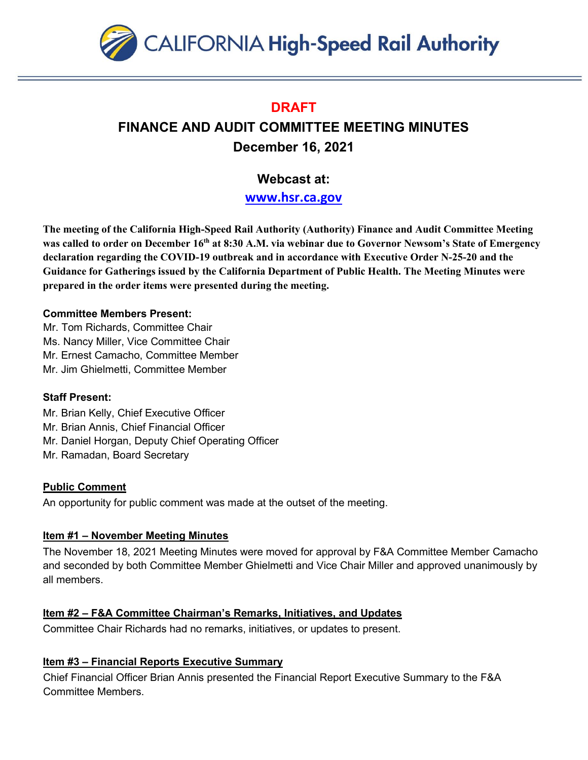

# **DRAFT**

# **FINANCE AND AUDIT COMMITTEE MEETING MINUTES December 16, 2021**

# **Webcast at:**

**[www.hsr.ca.gov](http://www.hsr.ca.gov/)**

**The meeting of the California High-Speed Rail Authority (Authority) Finance and Audit Committee Meeting was called to order on December 16th at 8:30 A.M. via webinar due to Governor Newsom's State of Emergency declaration regarding the COVID-19 outbreak and in accordance with Executive Order N-25-20 and the Guidance for Gatherings issued by the California Department of Public Health. The Meeting Minutes were prepared in the order items were presented during the meeting.** 

### **Committee Members Present:**

Mr. Tom Richards, Committee Chair Ms. Nancy Miller, Vice Committee Chair Mr. Ernest Camacho, Committee Member Mr. Jim Ghielmetti, Committee Member

# **Staff Present:**

Mr. Brian Kelly, Chief Executive Officer

Mr. Brian Annis, Chief Financial Officer

Mr. Daniel Horgan, Deputy Chief Operating Officer

Mr. Ramadan, Board Secretary

# **Public Comment**

An opportunity for public comment was made at the outset of the meeting.

# **Item #1 – November Meeting Minutes**

The November 18, 2021 Meeting Minutes were moved for approval by F&A Committee Member Camacho and seconded by both Committee Member Ghielmetti and Vice Chair Miller and approved unanimously by all members.

# **Item #2 – F&A Committee Chairman's Remarks, Initiatives, and Updates**

Committee Chair Richards had no remarks, initiatives, or updates to present.

# **Item #3 – Financial Reports Executive Summary**

Chief Financial Officer Brian Annis presented the Financial Report Executive Summary to the F&A Committee Members.